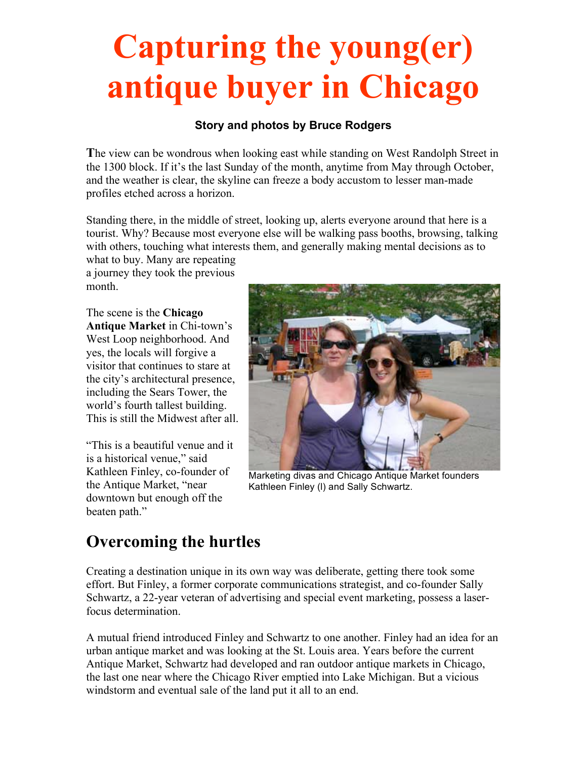# **Capturing the young(er) antique buyer in Chicago**

#### **Story and photos by Bruce Rodgers**

**T**he view can be wondrous when looking east while standing on West Randolph Street in the 1300 block. If it's the last Sunday of the month, anytime from May through October, and the weather is clear, the skyline can freeze a body accustom to lesser man-made profiles etched across a horizon.

Standing there, in the middle of street, looking up, alerts everyone around that here is a tourist. Why? Because most everyone else will be walking pass booths, browsing, talking with others, touching what interests them, and generally making mental decisions as to

what to buy. Many are repeating a journey they took the previous month.

The scene is the **Chicago Antique Market** in Chi-town's West Loop neighborhood. And yes, the locals will forgive a visitor that continues to stare at the city's architectural presence, including the Sears Tower, the world's fourth tallest building. This is still the Midwest after all.

"This is a beautiful venue and it is a historical venue," said Kathleen Finley, co-founder of the Antique Market, "near downtown but enough off the beaten path."



Marketing divas and Chicago Antique Market founders Kathleen Finley (l) and Sally Schwartz.

### **Overcoming the hurtles**

Creating a destination unique in its own way was deliberate, getting there took some effort. But Finley, a former corporate communications strategist, and co-founder Sally Schwartz, a 22-year veteran of advertising and special event marketing, possess a laserfocus determination.

A mutual friend introduced Finley and Schwartz to one another. Finley had an idea for an urban antique market and was looking at the St. Louis area. Years before the current Antique Market, Schwartz had developed and ran outdoor antique markets in Chicago, the last one near where the Chicago River emptied into Lake Michigan. But a vicious windstorm and eventual sale of the land put it all to an end.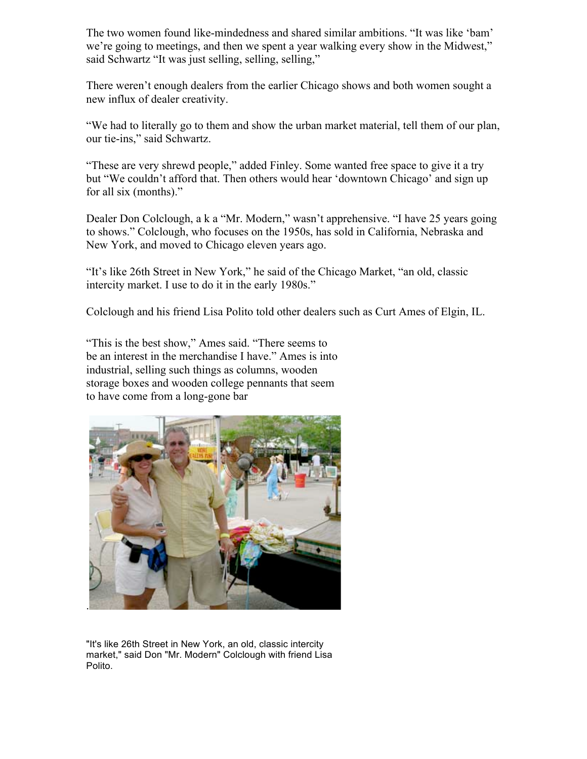The two women found like-mindedness and shared similar ambitions. "It was like 'bam' we're going to meetings, and then we spent a year walking every show in the Midwest," said Schwartz "It was just selling, selling, selling,"

There weren't enough dealers from the earlier Chicago shows and both women sought a new influx of dealer creativity.

"We had to literally go to them and show the urban market material, tell them of our plan, our tie-ins," said Schwartz.

"These are very shrewd people," added Finley. Some wanted free space to give it a try but "We couldn't afford that. Then others would hear 'downtown Chicago' and sign up for all six (months)."

Dealer Don Colclough, a k a "Mr. Modern," wasn't apprehensive. "I have 25 years going to shows." Colclough, who focuses on the 1950s, has sold in California, Nebraska and New York, and moved to Chicago eleven years ago.

"It's like 26th Street in New York," he said of the Chicago Market, "an old, classic intercity market. I use to do it in the early 1980s."

Colclough and his friend Lisa Polito told other dealers such as Curt Ames of Elgin, IL.

"This is the best show," Ames said. "There seems to be an interest in the merchandise I have." Ames is into industrial, selling such things as columns, wooden storage boxes and wooden college pennants that seem to have come from a long-gone bar



"It's like 26th Street in New York, an old, classic intercity market," said Don "Mr. Modern" Colclough with friend Lisa Polito.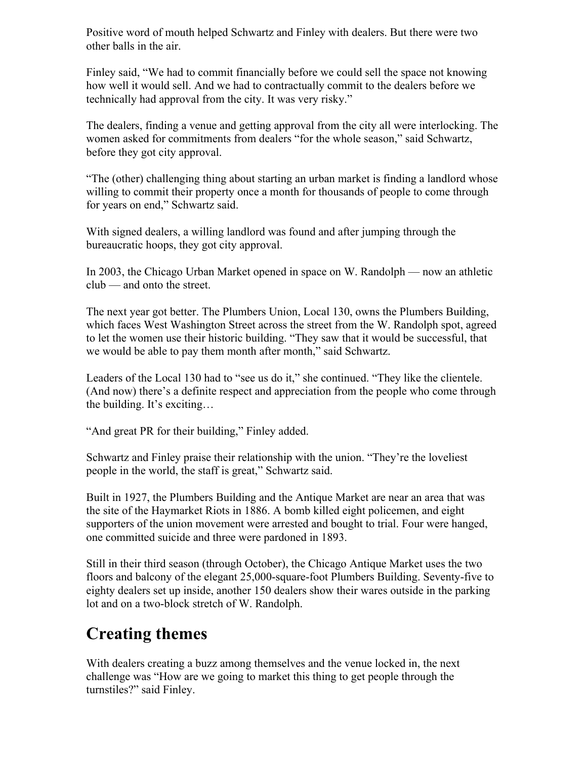Positive word of mouth helped Schwartz and Finley with dealers. But there were two other balls in the air.

Finley said, "We had to commit financially before we could sell the space not knowing how well it would sell. And we had to contractually commit to the dealers before we technically had approval from the city. It was very risky."

The dealers, finding a venue and getting approval from the city all were interlocking. The women asked for commitments from dealers "for the whole season," said Schwartz, before they got city approval.

"The (other) challenging thing about starting an urban market is finding a landlord whose willing to commit their property once a month for thousands of people to come through for years on end," Schwartz said.

With signed dealers, a willing landlord was found and after jumping through the bureaucratic hoops, they got city approval.

In 2003, the Chicago Urban Market opened in space on W. Randolph — now an athletic club — and onto the street.

The next year got better. The Plumbers Union, Local 130, owns the Plumbers Building, which faces West Washington Street across the street from the W. Randolph spot, agreed to let the women use their historic building. "They saw that it would be successful, that we would be able to pay them month after month," said Schwartz.

Leaders of the Local 130 had to "see us do it," she continued. "They like the clientele. (And now) there's a definite respect and appreciation from the people who come through the building. It's exciting…

"And great PR for their building," Finley added.

Schwartz and Finley praise their relationship with the union. "They're the loveliest people in the world, the staff is great," Schwartz said.

Built in 1927, the Plumbers Building and the Antique Market are near an area that was the site of the Haymarket Riots in 1886. A bomb killed eight policemen, and eight supporters of the union movement were arrested and bought to trial. Four were hanged, one committed suicide and three were pardoned in 1893.

Still in their third season (through October), the Chicago Antique Market uses the two floors and balcony of the elegant 25,000-square-foot Plumbers Building. Seventy-five to eighty dealers set up inside, another 150 dealers show their wares outside in the parking lot and on a two-block stretch of W. Randolph.

## **Creating themes**

With dealers creating a buzz among themselves and the venue locked in, the next challenge was "How are we going to market this thing to get people through the turnstiles?" said Finley.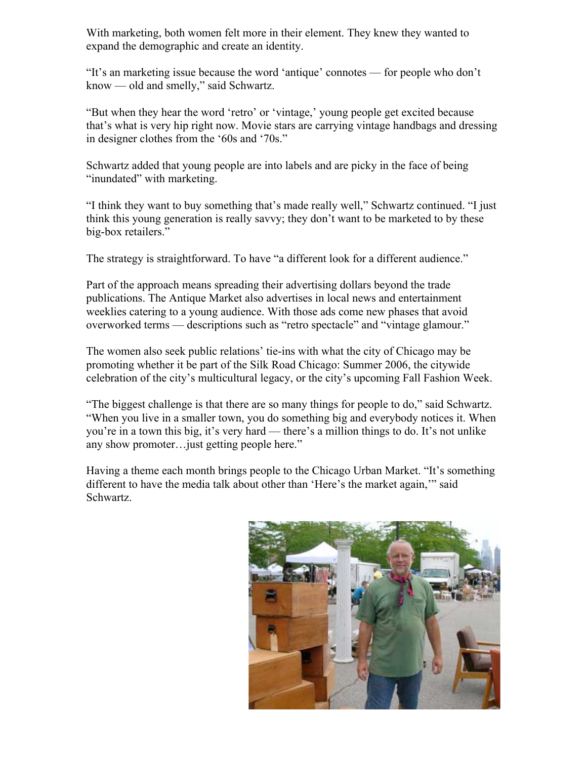With marketing, both women felt more in their element. They knew they wanted to expand the demographic and create an identity.

"It's an marketing issue because the word 'antique' connotes — for people who don't know — old and smelly," said Schwartz.

"But when they hear the word 'retro' or 'vintage,' young people get excited because that's what is very hip right now. Movie stars are carrying vintage handbags and dressing in designer clothes from the '60s and '70s."

Schwartz added that young people are into labels and are picky in the face of being "inundated" with marketing.

"I think they want to buy something that's made really well," Schwartz continued. "I just think this young generation is really savvy; they don't want to be marketed to by these big-box retailers."

The strategy is straightforward. To have "a different look for a different audience."

Part of the approach means spreading their advertising dollars beyond the trade publications. The Antique Market also advertises in local news and entertainment weeklies catering to a young audience. With those ads come new phases that avoid overworked terms — descriptions such as "retro spectacle" and "vintage glamour."

The women also seek public relations' tie-ins with what the city of Chicago may be promoting whether it be part of the Silk Road Chicago: Summer 2006, the citywide celebration of the city's multicultural legacy, or the city's upcoming Fall Fashion Week.

"The biggest challenge is that there are so many things for people to do," said Schwartz. "When you live in a smaller town, you do something big and everybody notices it. When you're in a town this big, it's very hard — there's a million things to do. It's not unlike any show promoter…just getting people here."

Having a theme each month brings people to the Chicago Urban Market. "It's something different to have the media talk about other than 'Here's the market again,'" said Schwartz.

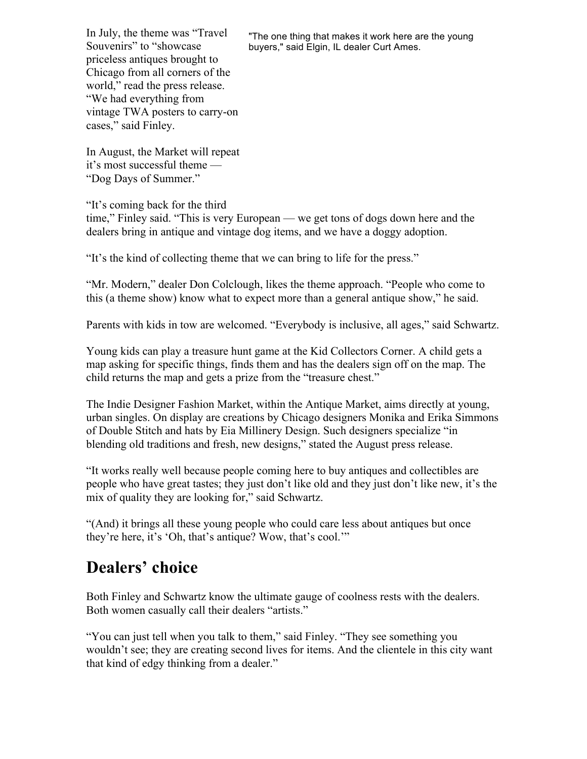In July, the theme was "Travel Souvenirs" to "showcase priceless antiques brought to Chicago from all corners of the world," read the press release. "We had everything from vintage TWA posters to carry-on cases," said Finley.

"The one thing that makes it work here are the young buyers," said Elgin, IL dealer Curt Ames.

In August, the Market will repeat it's most successful theme — "Dog Days of Summer."

"It's coming back for the third

time," Finley said. "This is very European — we get tons of dogs down here and the dealers bring in antique and vintage dog items, and we have a doggy adoption.

"It's the kind of collecting theme that we can bring to life for the press."

"Mr. Modern," dealer Don Colclough, likes the theme approach. "People who come to this (a theme show) know what to expect more than a general antique show," he said.

Parents with kids in tow are welcomed. "Everybody is inclusive, all ages," said Schwartz.

Young kids can play a treasure hunt game at the Kid Collectors Corner. A child gets a map asking for specific things, finds them and has the dealers sign off on the map. The child returns the map and gets a prize from the "treasure chest."

The Indie Designer Fashion Market, within the Antique Market, aims directly at young, urban singles. On display are creations by Chicago designers Monika and Erika Simmons of Double Stitch and hats by Eia Millinery Design. Such designers specialize "in blending old traditions and fresh, new designs," stated the August press release.

"It works really well because people coming here to buy antiques and collectibles are people who have great tastes; they just don't like old and they just don't like new, it's the mix of quality they are looking for," said Schwartz.

"(And) it brings all these young people who could care less about antiques but once they're here, it's 'Oh, that's antique? Wow, that's cool.'"

### **Dealers' choice**

Both Finley and Schwartz know the ultimate gauge of coolness rests with the dealers. Both women casually call their dealers "artists."

"You can just tell when you talk to them," said Finley. "They see something you wouldn't see; they are creating second lives for items. And the clientele in this city want that kind of edgy thinking from a dealer."